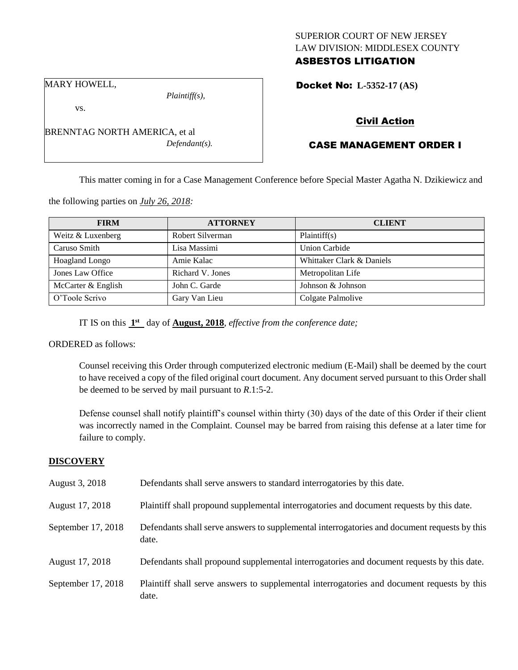# SUPERIOR COURT OF NEW JERSEY LAW DIVISION: MIDDLESEX COUNTY ASBESTOS LITIGATION

MARY HOWELL,

*Plaintiff(s),*

Docket No: **L-5352-17 (AS)** 

vs.

BRENNTAG NORTH AMERICA, et al *Defendant(s).*

# Civil Action

# CASE MANAGEMENT ORDER I

This matter coming in for a Case Management Conference before Special Master Agatha N. Dzikiewicz and

the following parties on *July 26, 2018:*

| <b>FIRM</b>        | <b>ATTORNEY</b>  | <b>CLIENT</b>             |
|--------------------|------------------|---------------------------|
| Weitz & Luxenberg  | Robert Silverman | Plaintiff(s)              |
| Caruso Smith       | Lisa Massimi     | <b>Union Carbide</b>      |
| Hoagland Longo     | Amie Kalac       | Whittaker Clark & Daniels |
| Jones Law Office   | Richard V. Jones | Metropolitan Life         |
| McCarter & English | John C. Garde    | Johnson & Johnson         |
| O'Toole Scrivo     | Gary Van Lieu    | Colgate Palmolive         |

IT IS on this  $1<sup>st</sup>$  day of **August, 2018**, *effective from the conference date*;

# ORDERED as follows:

Counsel receiving this Order through computerized electronic medium (E-Mail) shall be deemed by the court to have received a copy of the filed original court document. Any document served pursuant to this Order shall be deemed to be served by mail pursuant to *R*.1:5-2.

Defense counsel shall notify plaintiff's counsel within thirty (30) days of the date of this Order if their client was incorrectly named in the Complaint. Counsel may be barred from raising this defense at a later time for failure to comply.

# **DISCOVERY**

| August 3, 2018     | Defendants shall serve answers to standard interrogatories by this date.                              |
|--------------------|-------------------------------------------------------------------------------------------------------|
| August 17, 2018    | Plaintiff shall propound supplemental interrogatories and document requests by this date.             |
| September 17, 2018 | Defendants shall serve answers to supplemental interrogatories and document requests by this<br>date. |
| August 17, 2018    | Defendants shall propound supplemental interrogatories and document requests by this date.            |
| September 17, 2018 | Plaintiff shall serve answers to supplemental interrogatories and document requests by this<br>date.  |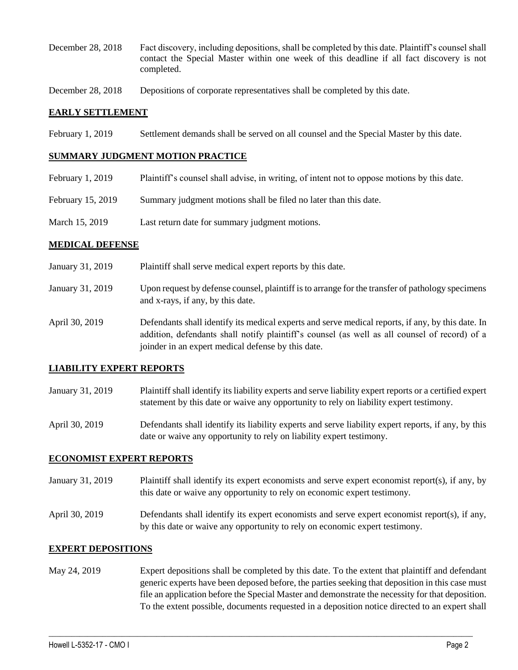- December 28, 2018 Fact discovery, including depositions, shall be completed by this date. Plaintiff's counsel shall contact the Special Master within one week of this deadline if all fact discovery is not completed.
- December 28, 2018 Depositions of corporate representatives shall be completed by this date.

## **EARLY SETTLEMENT**

February 1, 2019 Settlement demands shall be served on all counsel and the Special Master by this date.

#### **SUMMARY JUDGMENT MOTION PRACTICE**

- February 1, 2019 Plaintiff's counsel shall advise, in writing, of intent not to oppose motions by this date.
- February 15, 2019 Summary judgment motions shall be filed no later than this date.

joinder in an expert medical defense by this date.

March 15, 2019 Last return date for summary judgment motions.

### **MEDICAL DEFENSE**

| January 31, 2019 | Plaintiff shall serve medical expert reports by this date.                                                                                                                                         |
|------------------|----------------------------------------------------------------------------------------------------------------------------------------------------------------------------------------------------|
| January 31, 2019 | Upon request by defense counsel, plaintiff is to arrange for the transfer of pathology specimens<br>and x-rays, if any, by this date.                                                              |
| April 30, 2019   | Defendants shall identify its medical experts and serve medical reports, if any, by this date. In<br>addition, defendants shall notify plaintiff's counsel (as well as all counsel of record) of a |

### **LIABILITY EXPERT REPORTS**

January 31, 2019 Plaintiff shall identify its liability experts and serve liability expert reports or a certified expert statement by this date or waive any opportunity to rely on liability expert testimony.

April 30, 2019 Defendants shall identify its liability experts and serve liability expert reports, if any, by this date or waive any opportunity to rely on liability expert testimony.

### **ECONOMIST EXPERT REPORTS**

- January 31, 2019 Plaintiff shall identify its expert economists and serve expert economist report(s), if any, by this date or waive any opportunity to rely on economic expert testimony.
- April 30, 2019 Defendants shall identify its expert economists and serve expert economist report(s), if any, by this date or waive any opportunity to rely on economic expert testimony.

### **EXPERT DEPOSITIONS**

May 24, 2019 Expert depositions shall be completed by this date. To the extent that plaintiff and defendant generic experts have been deposed before, the parties seeking that deposition in this case must file an application before the Special Master and demonstrate the necessity for that deposition. To the extent possible, documents requested in a deposition notice directed to an expert shall

 $\_$  ,  $\_$  ,  $\_$  ,  $\_$  ,  $\_$  ,  $\_$  ,  $\_$  ,  $\_$  ,  $\_$  ,  $\_$  ,  $\_$  ,  $\_$  ,  $\_$  ,  $\_$  ,  $\_$  ,  $\_$  ,  $\_$  ,  $\_$  ,  $\_$  ,  $\_$  ,  $\_$  ,  $\_$  ,  $\_$  ,  $\_$  ,  $\_$  ,  $\_$  ,  $\_$  ,  $\_$  ,  $\_$  ,  $\_$  ,  $\_$  ,  $\_$  ,  $\_$  ,  $\_$  ,  $\_$  ,  $\_$  ,  $\_$  ,